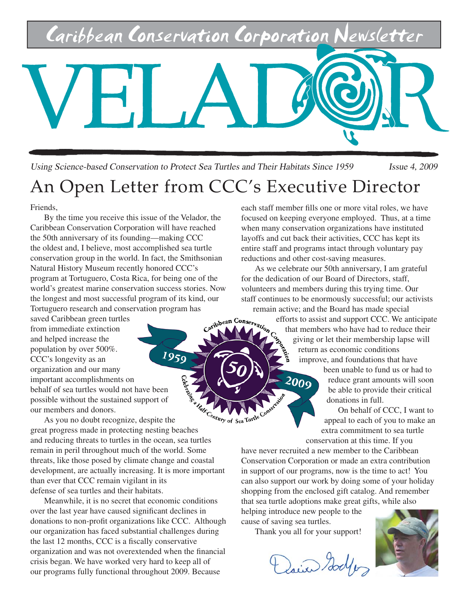

Using Science-based Conservation to Protect Sea Turtles and Their Habitats Since 1959 Issue 4, 2009

## An Open Letter from CCC's Executive Director

Friends,

By the time you receive this issue of the Velador, the Caribbean Conservation Corporation will have reached the 50th anniversary of its founding—making CCC the oldest and, I believe, most accomplished sea turtle conservation group in the world. In fact, the Smithsonian Natural History Museum recently honored CCC's program at Tortuguero, Costa Rica, for being one of the world's greatest marine conservation success stories. Now the longest and most successful program of its kind, our

Tortuguero research and conservation program has<br>saved Caribbean green turtles<br>from immediate extinction saved Caribbean green turtles from immediate extinction and helped increase the population by over 500%. 1959 CCC's longevity as an organization and our many important accomplishments on behalf of sea turtles would not have been possible without the sustained support of our members and donors.

As you no doubt recognize, despite the behalf of sea universements.<br>
possible without the sustained support of the our members and donors.<br>
As you no doubt recognize, despite the great progress made in protecting nesting beaches and reducing threats to turtles in the ocean, sea turtles remain in peril throughout much of the world. Some threats, like those posed by climate change and coastal development, are actually increasing. It is more important than ever that CCC remain vigilant in its defense of sea turtles and their habitats.

Meanwhile, it is no secret that economic conditions over the last year have caused significant declines in donations to non-profit organizations like CCC. Although our organization has faced substantial challenges during the last 12 months, CCC is a fiscally conservative organization and was not overextended when the financial crisis began. We have worked very hard to keep all of our programs fully functional throughout 2009. Because

each staff member fills one or more vital roles, we have focused on keeping everyone employed. Thus, at a time when many conservation organizations have instituted layoffs and cut back their activities, CCC has kept its entire staff and programs intact through voluntary pay reductions and other cost-saving measures.

As we celebrate our 50th anniversary, I am grateful for the dedication of our Board of Directors, staff, volunteers and members during this trying time. Our staff continues to be enormously successful; our activists remain active; and the Board has made special

> efforts to assist and support CCC. We anticipate that members who have had to reduce their giving or let their membership lapse will return as economic conditions improve, and foundations that have

> > been unable to fund us or had to reduce grant amounts will soon be able to provide their critical donations in full.

On behalf of CCC, I want to appeal to each of you to make an extra commitment to sea turtle conservation at this time. If you

have never recruited a new member to the Caribbean Conservation Corporation or made an extra contribution in support of our programs, now is the time to act! You can also support our work by doing some of your holiday shopping from the enclosed gift catalog. And remember that sea turtle adoptions make great gifts, while also

helping introduce new people to the cause of saving sea turtles.

2009

Thank you all for your support!

Dair Godfer

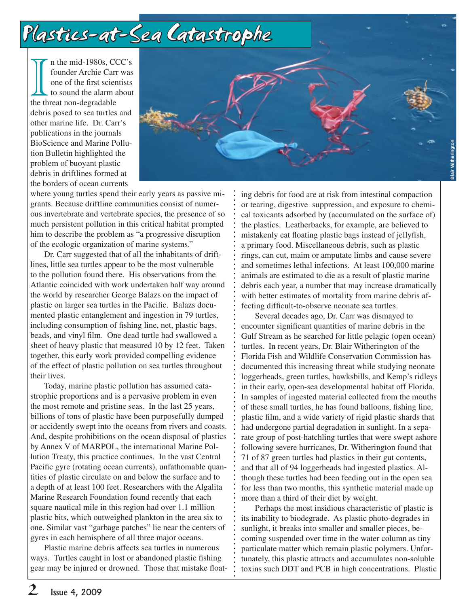# Plastics-at-Sea Catastrophe

n the mid-1980s, CCC's founder Archie Carr was one of the first scientists to sound the alarm about the threat non-degradable debris posed to sea turtles and other marine life. Dr. Carr's publications in the journals BioScience and Marine Pollution Bulletin highlighted the problem of buoyant plastic debris in driftlines formed at the borders of ocean currents



where young turtles spend their early years as passive migrants. Because driftline communities consist of numerous invertebrate and vertebrate species, the presence of so much persistent pollution in this critical habitat prompted him to describe the problem as "a progressive disruption of the ecologic organization of marine systems."

Dr. Carr suggested that of all the inhabitants of driftlines, little sea turtles appear to be the most vulnerable to the pollution found there. His observations from the Atlantic coincided with work undertaken half way around the world by researcher George Balazs on the impact of plastic on larger sea turtles in the Pacific. Balazs documented plastic entanglement and ingestion in 79 turtles, including consumption of fishing line, net, plastic bags, beads, and vinyl film. One dead turtle had swallowed a sheet of heavy plastic that measured 10 by 12 feet. Taken together, this early work provided compelling evidence of the effect of plastic pollution on sea turtles throughout their lives.

Today, marine plastic pollution has assumed catastrophic proportions and is a pervasive problem in even the most remote and pristine seas. In the last 25 years, billions of tons of plastic have been purposefully dumped or accidently swept into the oceans from rivers and coasts. And, despite prohibitions on the ocean disposal of plastics by Annex V of MARPOL, the international Marine Pollution Treaty, this practice continues. In the vast Central Pacific gyre (rotating ocean currents), unfathomable quantities of plastic circulate on and below the surface and to a depth of at least 100 feet. Researchers with the Algalita Marine Research Foundation found recently that each square nautical mile in this region had over 1.1 million plastic bits, which outweighed plankton in the area six to one. Similar vast "garbage patches" lie near the centers of gyres in each hemisphere of all three major oceans.

Plastic marine debris affects sea turtles in numerous ways. Turtles caught in lost or abandoned plastic fishing gear may be injured or drowned. Those that mistake floating debris for food are at risk from intestinal compaction or tearing, digestive suppression, and exposure to chemical toxicants adsorbed by (accumulated on the surface of) the plastics. Leatherbacks, for example, are believed to mistakenly eat floating plastic bags instead of jellyfish, a primary food. Miscellaneous debris, such as plastic rings, can cut, maim or amputate limbs and cause severe and sometimes lethal infections. At least 100,000 marine animals are estimated to die as a result of plastic marine debris each year, a number that may increase dramatically with better estimates of mortality from marine debris affecting difficult-to-observe neonate sea turtles.

Several decades ago, Dr. Carr was dismayed to encounter significant quantities of marine debris in the Gulf Stream as he searched for little pelagic (open ocean) turtles. In recent years, Dr. Blair Witherington of the Florida Fish and Wildlife Conservation Commission has documented this increasing threat while studying neonate loggerheads, green turtles, hawksbills, and Kemp's ridleys in their early, open-sea developmental habitat off Florida. In samples of ingested material collected from the mouths of these small turtles, he has found balloons, fishing line, plastic film, and a wide variety of rigid plastic shards that had undergone partial degradation in sunlight. In a separate group of post-hatchling turtles that were swept ashore following severe hurricanes, Dr. Witherington found that 71 of 87 green turtles had plastics in their gut contents, and that all of 94 loggerheads had ingested plastics. Although these turtles had been feeding out in the open sea for less than two months, this synthetic material made up more than a third of their diet by weight.

Perhaps the most insidious characteristic of plastic is its inability to biodegrade. As plastic photo-degrades in sunlight, it breaks into smaller and smaller pieces, becoming suspended over time in the water column as tiny particulate matter which remain plastic polymers. Unfortunately, this plastic attracts and accumulates non-soluble toxins such DDT and PCB in high concentrations. Plastic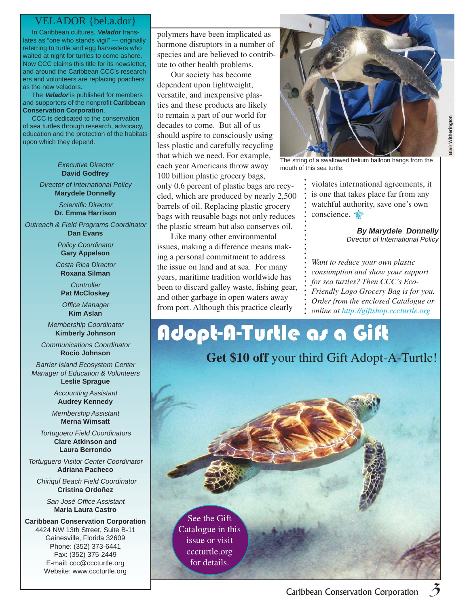### VELADOR {bel.a.dor}

 In Caribbean cultures, **Velador** translates as "one who stands vigil" — originally referring to turtle and egg harvesters who waited at night for turtles to come ashore. Now CCC claims this title for its newsletter, and around the Caribbean CCC's researchers and volunteers are replacing poachers as the new veladors.

 The **Velador** is published for members and supporters of the nonprofit **Caribbean Conservation Corporation**.

 CCC is dedicated to the conservation of sea turtles through research, advocacy, education and the protection of the habitats upon which they depend.

#### Executive Director **David Godfrey**

Director of International Policy **Marydele Donnelly**

> Scientific Director **Dr. Emma Harrison**

Outreach & Field Programs Coordinator **Dan Evans**

> Policy Coordinator **Gary Appelson**

Costa Rica Director **Roxana Silman**

**Controller Pat McCloskey**

Office Manager **Kim Aslan**

Membership Coordinator **Kimberly Johnson**

Communications Coordinator **Rocio Johnson**

Barrier Island Ecosystem Center Manager of Education & Volunteers **Leslie Sprague**

> Accounting Assistant **Audrey Kennedy**

Membership Assistant **Merna Wimsatt**

Tortuguero Field Coordinators **Clare Atkinson and Laura Berrondo**

Tortuguero Visitor Center Coordinator **Adriana Pacheco**

Chiriquí Beach Field Coordinator **Cristina Ordoñez**

> San José Office Assistant **Maria Laura Castro**

**Caribbean Conservation Corporation** 4424 NW 13th Street, Suite B-11 Gainesville, Florida 32609 Phone: (352) 373-6441 Fax: (352) 375-2449 E-mail: ccc@cccturtle.org Website: www.cccturtle.org

polymers have been implicated as hormone disruptors in a number of species and are believed to contribute to other health problems.

Our society has become dependent upon lightweight, versatile, and inexpensive plastics and these products are likely to remain a part of our world for decades to come. But all of us should aspire to consciously using less plastic and carefully recycling that which we need. For example, each year Americans throw away 100 billion plastic grocery bags, only 0.6 percent of plastic bags are recycled, which are produced by nearly 2,500 barrels of oil. Replacing plastic grocery bags with reusable bags not only reduces the plastic stream but also conserves oil.

Like many other environmental issues, making a difference means making a personal commitment to address the issue on land and at sea. For many years, maritime tradition worldwide has been to discard galley waste, fishing gear, and other garbage in open waters away from port. Although this practice clearly



**Blair Witherington Blair Witherington** 

The string of a swallowed helium balloon hangs from the mouth of this sea turtle.

violates international agreements, it is one that takes place far from any watchful authority, save one's own conscience.

> **By Marydele Donnelly** Director of International Policy

*Want to reduce your own plastic consumption and show your support for sea turtles? Then CCC's Eco-Friendly Logo Grocery Bag is for you. Order from the enclosed Catalogue or online at http://giftshop.cccturtle.org*

# Adopt-A-Turtle as a Gift

**Get \$10 off** your third Gift Adopt-A-Turtle!